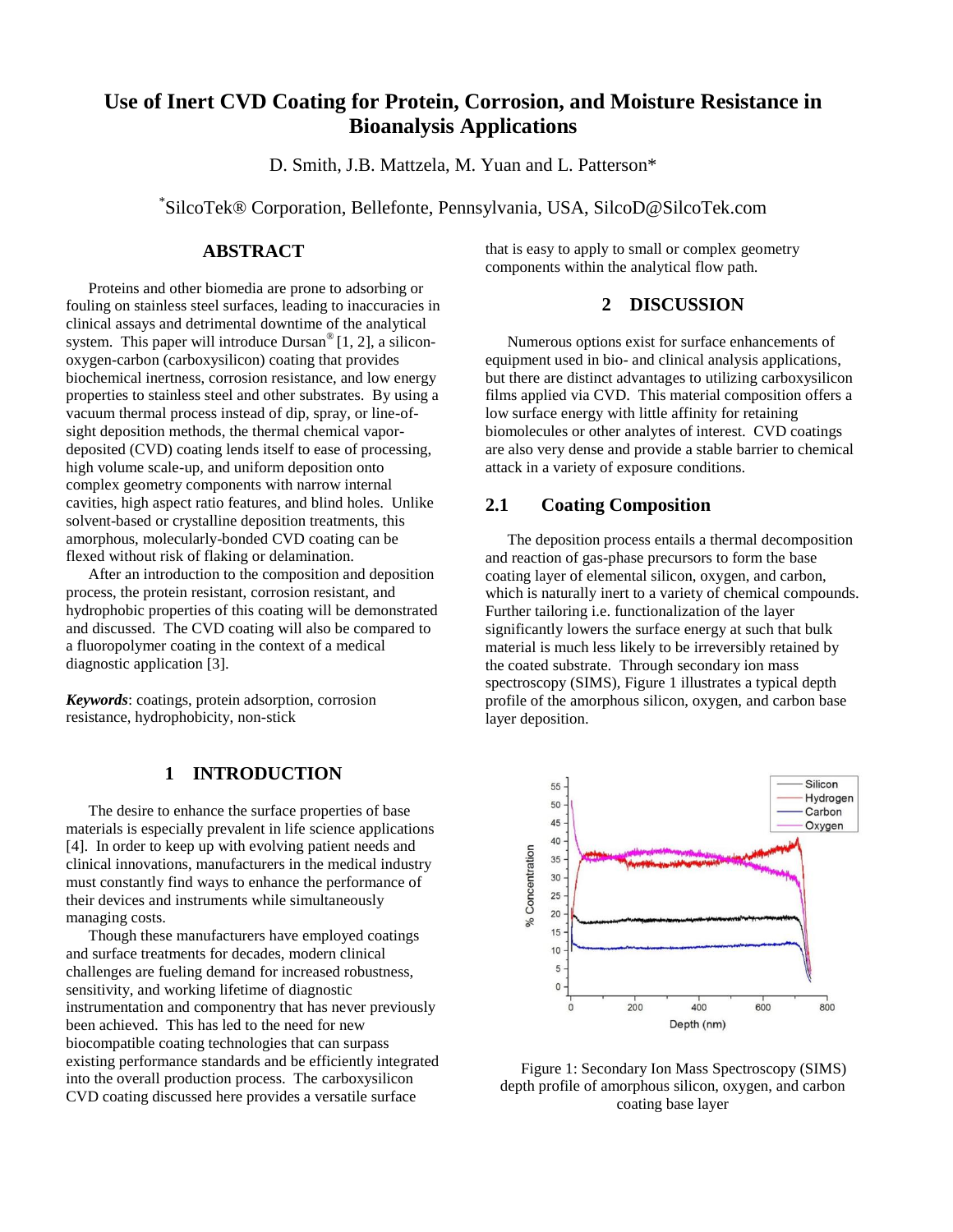# **Use of Inert CVD Coating for Protein, Corrosion, and Moisture Resistance in Bioanalysis Applications**

D. Smith, J.B. Mattzela, M. Yuan and L. Patterson\*

\* SilcoTek® Corporation, Bellefonte, Pennsylvania, USA, SilcoD@SilcoTek.com

### **ABSTRACT**

Proteins and other biomedia are prone to adsorbing or fouling on stainless steel surfaces, leading to inaccuracies in clinical assays and detrimental downtime of the analytical system. This paper will introduce Dursan<sup>®</sup> [1, 2], a siliconoxygen-carbon (carboxysilicon) coating that provides biochemical inertness, corrosion resistance, and low energy properties to stainless steel and other substrates. By using a vacuum thermal process instead of dip, spray, or line-ofsight deposition methods, the thermal chemical vapordeposited (CVD) coating lends itself to ease of processing, high volume scale-up, and uniform deposition onto complex geometry components with narrow internal cavities, high aspect ratio features, and blind holes. Unlike solvent-based or crystalline deposition treatments, this amorphous, molecularly-bonded CVD coating can be flexed without risk of flaking or delamination.

After an introduction to the composition and deposition process, the protein resistant, corrosion resistant, and hydrophobic properties of this coating will be demonstrated and discussed. The CVD coating will also be compared to a fluoropolymer coating in the context of a medical diagnostic application [3].

*Keywords*: coatings, protein adsorption, corrosion resistance, hydrophobicity, non-stick

### **1 INTRODUCTION**

The desire to enhance the surface properties of base materials is especially prevalent in life science applications [4]. In order to keep up with evolving patient needs and clinical innovations, manufacturers in the medical industry must constantly find ways to enhance the performance of their devices and instruments while simultaneously managing costs.

Though these manufacturers have employed coatings and surface treatments for decades, modern clinical challenges are fueling demand for increased robustness, sensitivity, and working lifetime of diagnostic instrumentation and componentry that has never previously been achieved. This has led to the need for new biocompatible coating technologies that can surpass existing performance standards and be efficiently integrated into the overall production process. The carboxysilicon CVD coating discussed here provides a versatile surface

that is easy to apply to small or complex geometry components within the analytical flow path.

### **2 DISCUSSION**

Numerous options exist for surface enhancements of equipment used in bio- and clinical analysis applications, but there are distinct advantages to utilizing carboxysilicon films applied via CVD. This material composition offers a low surface energy with little affinity for retaining biomolecules or other analytes of interest. CVD coatings are also very dense and provide a stable barrier to chemical attack in a variety of exposure conditions.

#### **2.1 Coating Composition**

The deposition process entails a thermal decomposition and reaction of gas-phase precursors to form the base coating layer of elemental silicon, oxygen, and carbon, which is naturally inert to a variety of chemical compounds. Further tailoring i.e. functionalization of the layer significantly lowers the surface energy at such that bulk material is much less likely to be irreversibly retained by the coated substrate. Through secondary ion mass spectroscopy (SIMS), Figure 1 illustrates a typical depth profile of the amorphous silicon, oxygen, and carbon base layer deposition.



Figure 1: Secondary Ion Mass Spectroscopy (SIMS) depth profile of amorphous silicon, oxygen, and carbon coating base layer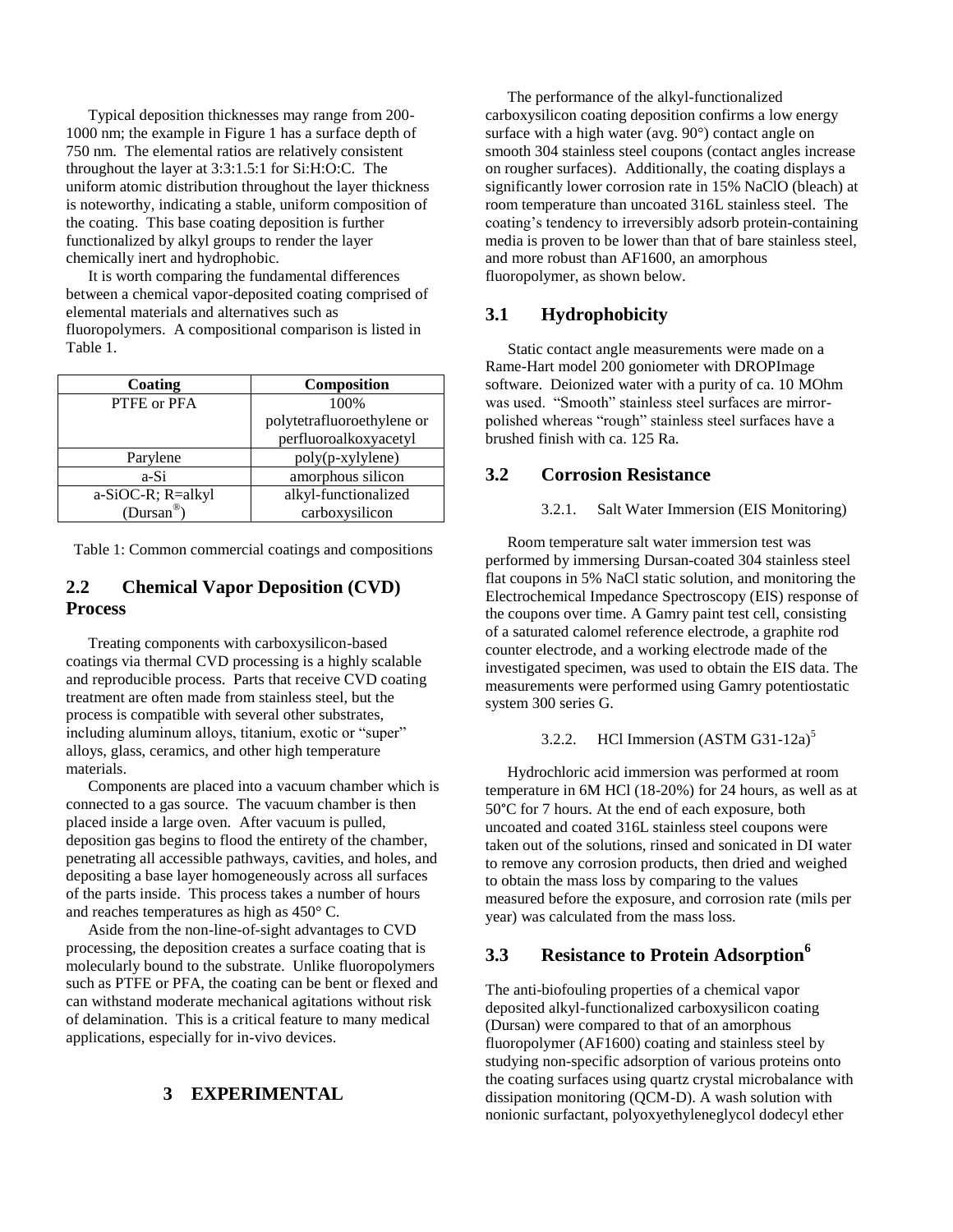Typical deposition thicknesses may range from 200- 1000 nm; the example in Figure 1 has a surface depth of 750 nm. The elemental ratios are relatively consistent throughout the layer at 3:3:1.5:1 for Si:H:O:C. The uniform atomic distribution throughout the layer thickness is noteworthy, indicating a stable, uniform composition of the coating. This base coating deposition is further functionalized by alkyl groups to render the layer chemically inert and hydrophobic.

It is worth comparing the fundamental differences between a chemical vapor-deposited coating comprised of elemental materials and alternatives such as fluoropolymers. A compositional comparison is listed in Table 1.

| Coating           | Composition                |
|-------------------|----------------------------|
| PTFE or PFA       | 100\%                      |
|                   | polytetrafluoroethylene or |
|                   | perfluoroalkoxyacetyl      |
| Parylene          | poly(p-xylylene)           |
| a-Si              | amorphous silicon          |
| a-SiOC-R; R=alkyl | alkyl-functionalized       |
| $(Dursan^@)$      | carboxysilicon             |

Table 1: Common commercial coatings and compositions

## **2.2 Chemical Vapor Deposition (CVD) Process**

Treating components with carboxysilicon-based coatings via thermal CVD processing is a highly scalable and reproducible process. Parts that receive CVD coating treatment are often made from stainless steel, but the process is compatible with several other substrates, including aluminum alloys, titanium, exotic or "super" alloys, glass, ceramics, and other high temperature materials.

Components are placed into a vacuum chamber which is connected to a gas source. The vacuum chamber is then placed inside a large oven. After vacuum is pulled, deposition gas begins to flood the entirety of the chamber, penetrating all accessible pathways, cavities, and holes, and depositing a base layer homogeneously across all surfaces of the parts inside. This process takes a number of hours and reaches temperatures as high as 450° C.

Aside from the non-line-of-sight advantages to CVD processing, the deposition creates a surface coating that is molecularly bound to the substrate. Unlike fluoropolymers such as PTFE or PFA, the coating can be bent or flexed and can withstand moderate mechanical agitations without risk of delamination. This is a critical feature to many medical applications, especially for in-vivo devices.

## **3 EXPERIMENTAL**

The performance of the alkyl-functionalized carboxysilicon coating deposition confirms a low energy surface with a high water (avg. 90°) contact angle on smooth 304 stainless steel coupons (contact angles increase on rougher surfaces). Additionally, the coating displays a significantly lower corrosion rate in 15% NaClO (bleach) at room temperature than uncoated 316L stainless steel. The coating's tendency to irreversibly adsorb protein-containing media is proven to be lower than that of bare stainless steel, and more robust than AF1600, an amorphous fluoropolymer, as shown below.

### **3.1 Hydrophobicity**

Static contact angle measurements were made on a Rame-Hart model 200 goniometer with DROPImage software. Deionized water with a purity of ca. 10 MOhm was used. "Smooth" stainless steel surfaces are mirrorpolished whereas "rough" stainless steel surfaces have a brushed finish with ca. 125 Ra.

#### **3.2 Corrosion Resistance**

#### 3.2.1. Salt Water Immersion (EIS Monitoring)

Room temperature salt water immersion test was performed by immersing Dursan-coated 304 stainless steel flat coupons in 5% NaCl static solution, and monitoring the Electrochemical Impedance Spectroscopy (EIS) response of the coupons over time. A Gamry paint test cell, consisting of a saturated calomel reference electrode, a graphite rod counter electrode, and a working electrode made of the investigated specimen, was used to obtain the EIS data. The measurements were performed using Gamry potentiostatic system 300 series G.

#### 3.2.2. HCl Immersion  $(ASTM G31-12a)^5$

Hydrochloric acid immersion was performed at room temperature in 6M HCl (18-20%) for 24 hours, as well as at 50°C for 7 hours. At the end of each exposure, both uncoated and coated 316L stainless steel coupons were taken out of the solutions, rinsed and sonicated in DI water to remove any corrosion products, then dried and weighed to obtain the mass loss by comparing to the values measured before the exposure, and corrosion rate (mils per year) was calculated from the mass loss.

## **3.3 Resistance to Protein Adsorption<sup>6</sup>**

The anti-biofouling properties of a chemical vapor deposited alkyl-functionalized carboxysilicon coating (Dursan) were compared to that of an amorphous fluoropolymer (AF1600) coating and stainless steel by studying non-specific adsorption of various proteins onto the coating surfaces using quartz crystal microbalance with dissipation monitoring (QCM-D). A wash solution with nonionic surfactant, polyoxyethyleneglycol dodecyl ether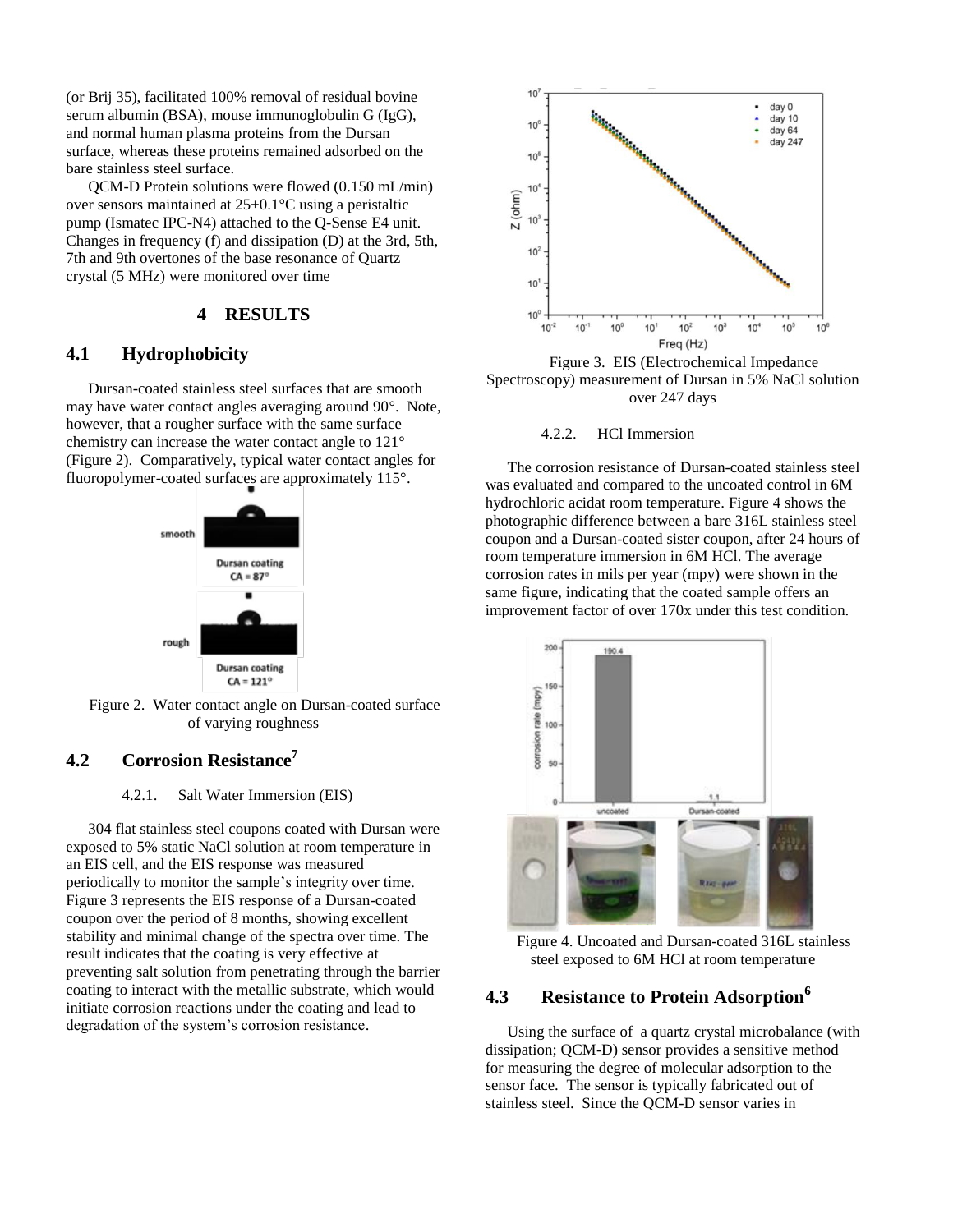(or Brij 35), facilitated 100% removal of residual bovine serum albumin (BSA), mouse immunoglobulin G (IgG), and normal human plasma proteins from the Dursan surface, whereas these proteins remained adsorbed on the bare stainless steel surface.

QCM-D Protein solutions were flowed (0.150 mL/min) over sensors maintained at 25±0.1°C using a peristaltic pump (Ismatec IPC-N4) attached to the Q-Sense E4 unit. Changes in frequency (f) and dissipation (D) at the 3rd, 5th, 7th and 9th overtones of the base resonance of Quartz crystal (5 MHz) were monitored over time

#### **4 RESULTS**

## **4.1 Hydrophobicity**

Dursan-coated stainless steel surfaces that are smooth may have water contact angles averaging around 90°. Note, however, that a rougher surface with the same surface chemistry can increase the water contact angle to 121° (Figure 2). Comparatively, typical water contact angles for fluoropolymer-coated surfaces are approximately 115°.



 Figure 2. Water contact angle on Dursan-coated surface of varying roughness

### **4.2 Corrosion Resistance<sup>7</sup>**

#### 4.2.1. Salt Water Immersion (EIS)

304 flat stainless steel coupons coated with Dursan were exposed to 5% static NaCl solution at room temperature in an EIS cell, and the EIS response was measured periodically to monitor the sample's integrity over time. Figure 3 represents the EIS response of a Dursan-coated coupon over the period of 8 months, showing excellent stability and minimal change of the spectra over time. The result indicates that the coating is very effective at preventing salt solution from penetrating through the barrier coating to interact with the metallic substrate, which would initiate corrosion reactions under the coating and lead to degradation of the system's corrosion resistance.



Figure 3. EIS (Electrochemical Impedance Spectroscopy) measurement of Dursan in 5% NaCl solution over 247 days

#### 4.2.2. HCl Immersion

The corrosion resistance of Dursan-coated stainless steel was evaluated and compared to the uncoated control in 6M hydrochloric acidat room temperature. Figure 4 shows the photographic difference between a bare 316L stainless steel coupon and a Dursan-coated sister coupon, after 24 hours of room temperature immersion in 6M HCl. The average corrosion rates in mils per year (mpy) were shown in the same figure, indicating that the coated sample offers an improvement factor of over 170x under this test condition.



Figure 4. Uncoated and Dursan-coated 316L stainless steel exposed to 6M HCl at room temperature

### **4.3 Resistance to Protein Adsorption<sup>6</sup>**

Using the surface of a quartz crystal microbalance (with dissipation; QCM-D) sensor provides a sensitive method for measuring the degree of molecular adsorption to the sensor face. The sensor is typically fabricated out of stainless steel. Since the QCM-D sensor varies in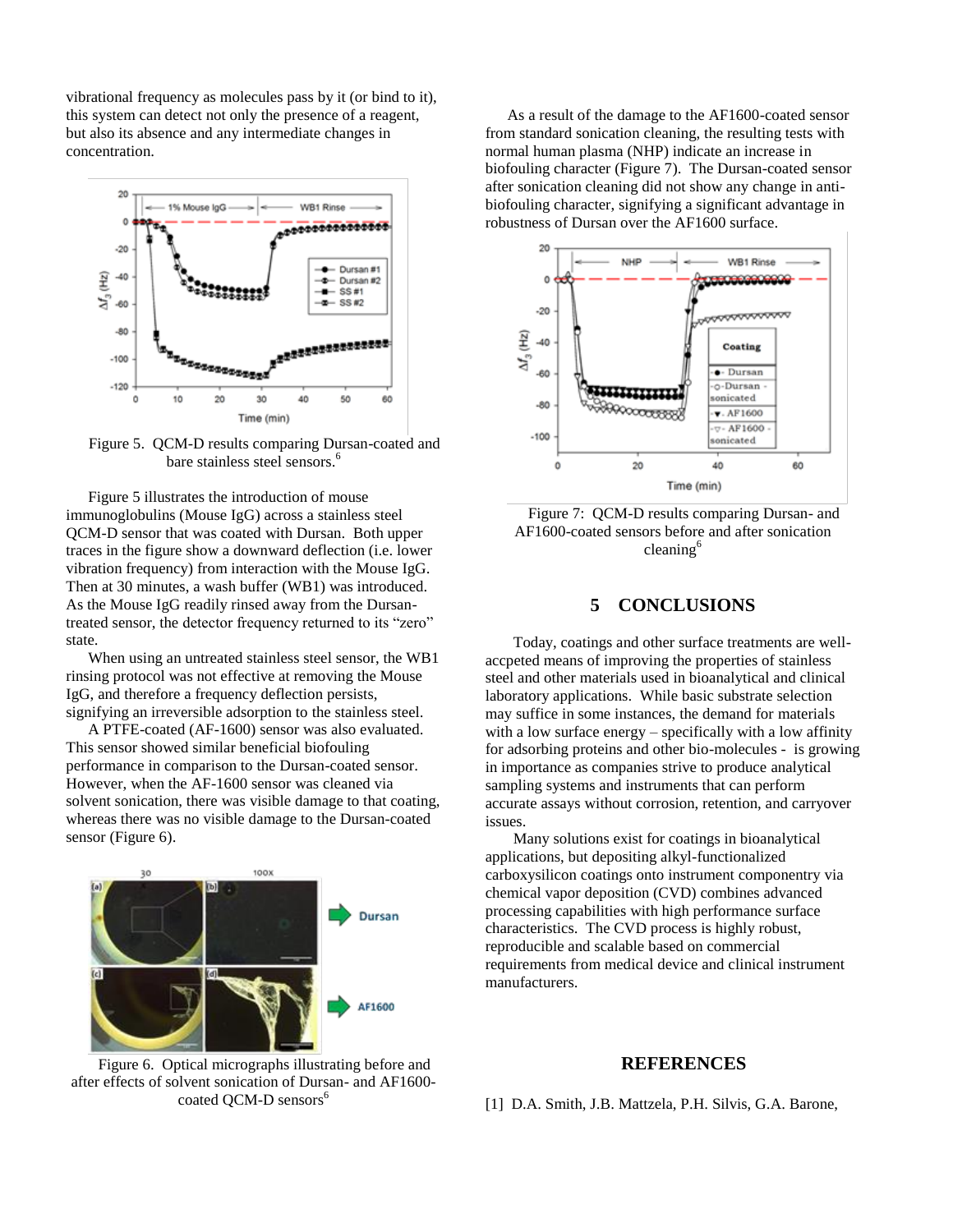vibrational frequency as molecules pass by it (or bind to it), this system can detect not only the presence of a reagent, but also its absence and any intermediate changes in concentration.



Figure 5. QCM-D results comparing Dursan-coated and bare stainless steel sensors.<sup>6</sup>

Figure 5 illustrates the introduction of mouse immunoglobulins (Mouse IgG) across a stainless steel QCM-D sensor that was coated with Dursan. Both upper traces in the figure show a downward deflection (i.e. lower vibration frequency) from interaction with the Mouse IgG. Then at 30 minutes, a wash buffer (WB1) was introduced. As the Mouse IgG readily rinsed away from the Dursantreated sensor, the detector frequency returned to its "zero" state.

When using an untreated stainless steel sensor, the WB1 rinsing protocol was not effective at removing the Mouse IgG, and therefore a frequency deflection persists, signifying an irreversible adsorption to the stainless steel.

A PTFE-coated (AF-1600) sensor was also evaluated. This sensor showed similar beneficial biofouling performance in comparison to the Dursan-coated sensor. However, when the AF-1600 sensor was cleaned via solvent sonication, there was visible damage to that coating, whereas there was no visible damage to the Dursan-coated sensor (Figure 6).



Figure 6. Optical micrographs illustrating before and after effects of solvent sonication of Dursan- and AF1600 coated OCM-D sensors<sup>6</sup>

As a result of the damage to the AF1600-coated sensor from standard sonication cleaning, the resulting tests with normal human plasma (NHP) indicate an increase in biofouling character (Figure 7). The Dursan-coated sensor after sonication cleaning did not show any change in antibiofouling character, signifying a significant advantage in robustness of Dursan over the AF1600 surface.



Figure 7: QCM-D results comparing Dursan- and AF1600-coated sensors before and after sonication cleaning<sup>6</sup>

### **5 CONCLUSIONS**

Today, coatings and other surface treatments are wellaccpeted means of improving the properties of stainless steel and other materials used in bioanalytical and clinical laboratory applications. While basic substrate selection may suffice in some instances, the demand for materials with a low surface energy – specifically with a low affinity for adsorbing proteins and other bio-molecules - is growing in importance as companies strive to produce analytical sampling systems and instruments that can perform accurate assays without corrosion, retention, and carryover issues.

Many solutions exist for coatings in bioanalytical applications, but depositing alkyl-functionalized carboxysilicon coatings onto instrument componentry via chemical vapor deposition (CVD) combines advanced processing capabilities with high performance surface characteristics. The CVD process is highly robust, reproducible and scalable based on commercial requirements from medical device and clinical instrument manufacturers.

#### **REFERENCES**

[1] D.A. Smith, J.B. Mattzela, P.H. Silvis, G.A. Barone,